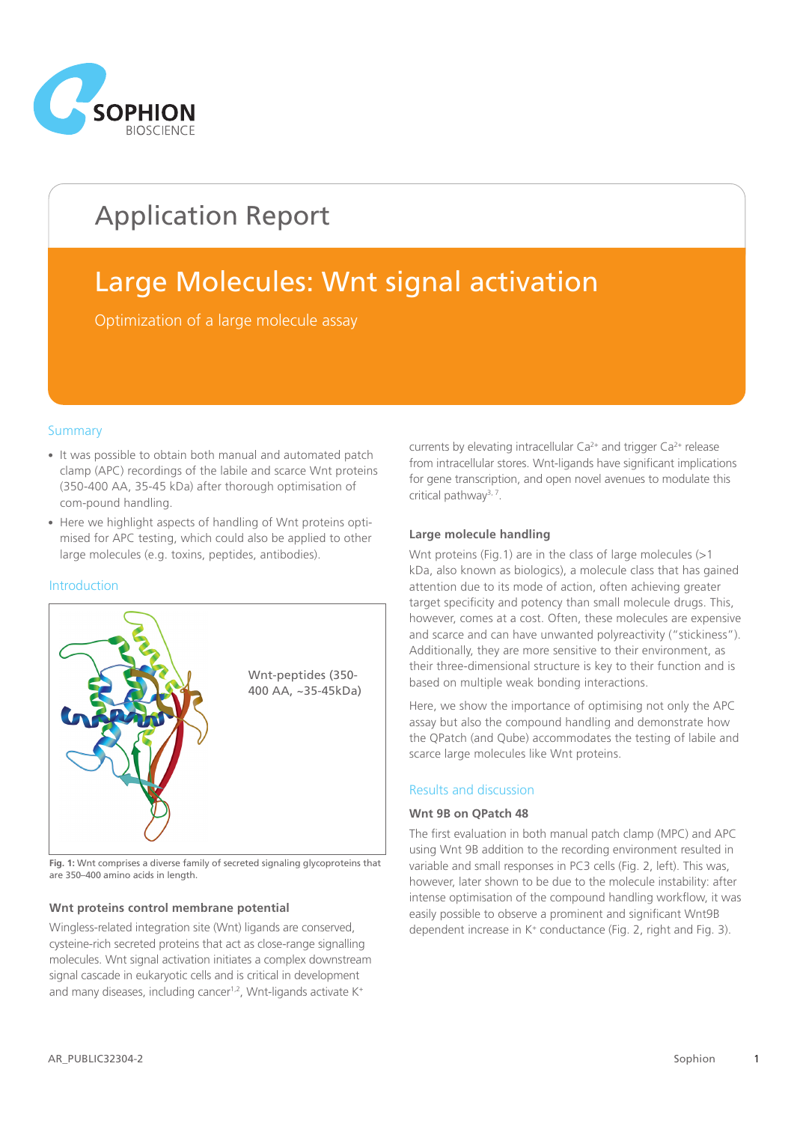

# Application Report

# Large Molecules: Wnt signal activation

Optimization of a large molecule assay

### **Summary**

- It was possible to obtain both manual and automated patch clamp (APC) recordings of the labile and scarce Wnt proteins (350-400 AA, 35-45 kDa) after thorough optimisation of com-pound handling.
- Here we highlight aspects of handling of Wnt proteins optimised for APC testing, which could also be applied to other large molecules (e.g. toxins, peptides, antibodies).

#### **Introduction**



**Fig. 1:** Wnt comprises a diverse family of secreted signaling glycoproteins that are 350–400 amino acids in length.

#### **Wnt proteins control membrane potential**

Wingless-related integration site (Wnt) ligands are conserved, cysteine-rich secreted proteins that act as close-range signalling molecules. Wnt signal activation initiates a complex downstream signal cascade in eukaryotic cells and is critical in development and many diseases, including cancer<sup>1,2</sup>, Wnt-ligands activate K<sup>+</sup>

currents by elevating intracellular  $Ca^{2+}$  and trigger  $Ca^{2+}$  release from intracellular stores. Wnt-ligands have significant implications for gene transcription, and open novel avenues to modulate this critical pathway<sup>3, 7</sup>.

#### **Large molecule handling**

Wnt proteins (Fig.1) are in the class of large molecules (>1) kDa, also known as biologics), a molecule class that has gained attention due to its mode of action, often achieving greater target specificity and potency than small molecule drugs. This, however, comes at a cost. Often, these molecules are expensive and scarce and can have unwanted polyreactivity ("stickiness"). Additionally, they are more sensitive to their environment, as their three-dimensional structure is key to their function and is based on multiple weak bonding interactions.

Here, we show the importance of optimising not only the APC assay but also the compound handling and demonstrate how the QPatch (and Qube) accommodates the testing of labile and scarce large molecules like Wnt proteins.

#### Results and discussion

#### **Wnt 9B on QPatch 48**

The first evaluation in both manual patch clamp (MPC) and APC using Wnt 9B addition to the recording environment resulted in variable and small responses in PC3 cells (Fig. 2, left). This was, however, later shown to be due to the molecule instability: after intense optimisation of the compound handling workflow, it was easily possible to observe a prominent and significant Wnt9B dependent increase in K<sup>+</sup> conductance (Fig. 2, right and Fig. 3).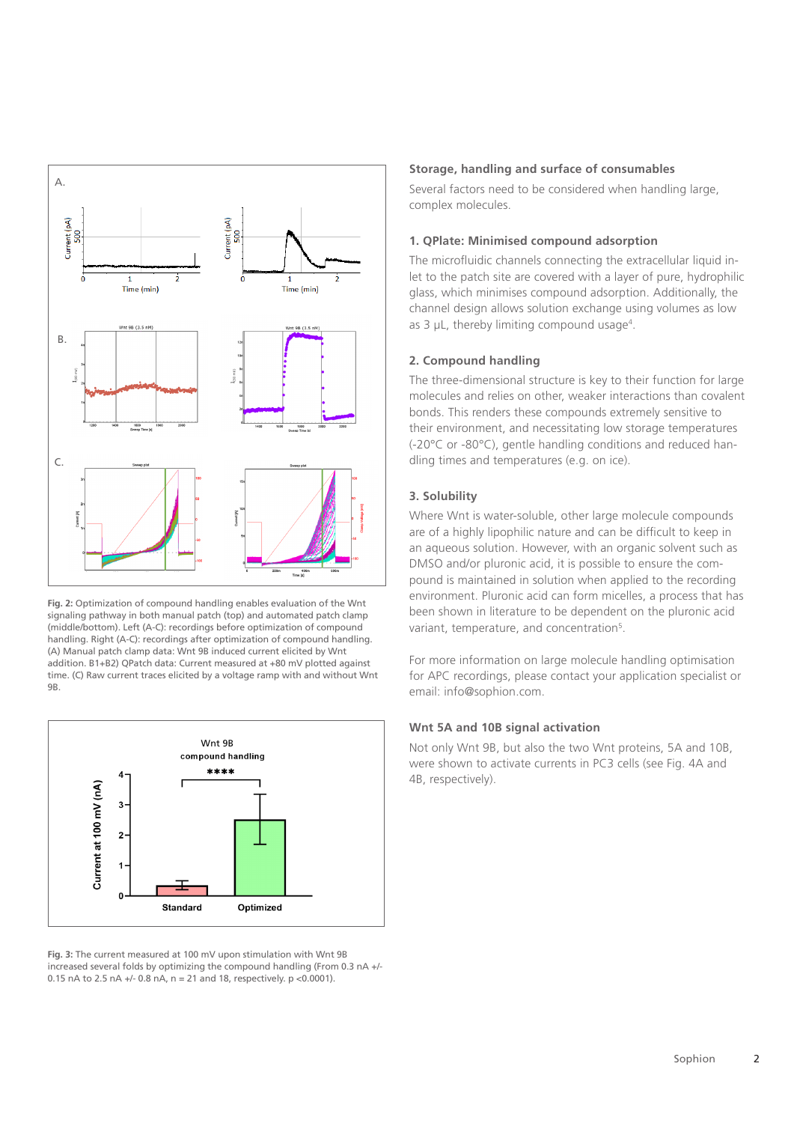

**Fig. 2:** Optimization of compound handling enables evaluation of the Wnt signaling pathway in both manual patch (top) and automated patch clamp (middle/bottom). Left (A-C): recordings before optimization of compound handling. Right (A-C): recordings after optimization of compound handling. (A) Manual patch clamp data: Wnt 9B induced current elicited by Wnt addition. B1+B2) QPatch data: Current measured at +80 mV plotted against time. (C) Raw current traces elicited by a voltage ramp with and without Wnt 9B.



**Fig. 3:** The current measured at 100 mV upon stimulation with Wnt 9B increased several folds by optimizing the compound handling (From 0.3 nA +/- 0.15 nA to 2.5 nA +/- 0.8 nA, n = 21 and 18, respectively. p <0.0001).

#### **Storage, handling and surface of consumables**

Several factors need to be considered when handling large, complex molecules.

#### **1. QPlate: Minimised compound adsorption**

The microfluidic channels connecting the extracellular liquid inlet to the patch site are covered with a layer of pure, hydrophilic glass, which minimises compound adsorption. Additionally, the channel design allows solution exchange using volumes as low as 3  $\mu$ L, thereby limiting compound usage<sup>4</sup>.

#### **2. Compound handling**

The three-dimensional structure is key to their function for large molecules and relies on other, weaker interactions than covalent bonds. This renders these compounds extremely sensitive to their environment, and necessitating low storage temperatures (-20°C or -80°C), gentle handling conditions and reduced handling times and temperatures (e.g. on ice).

### **3. Solubility**

Where Wnt is water-soluble, other large molecule compounds are of a highly lipophilic nature and can be difficult to keep in an aqueous solution. However, with an organic solvent such as DMSO and/or pluronic acid, it is possible to ensure the compound is maintained in solution when applied to the recording environment. Pluronic acid can form micelles, a process that has been shown in literature to be dependent on the pluronic acid variant, temperature, and concentration<sup>5</sup>.

For more information on large molecule handling optimisation for APC recordings, please contact your application specialist or email: info@sophion.com.

#### **Wnt 5A and 10B signal activation**

Not only Wnt 9B, but also the two Wnt proteins, 5A and 10B, were shown to activate currents in PC3 cells (see Fig. 4A and 4B, respectively).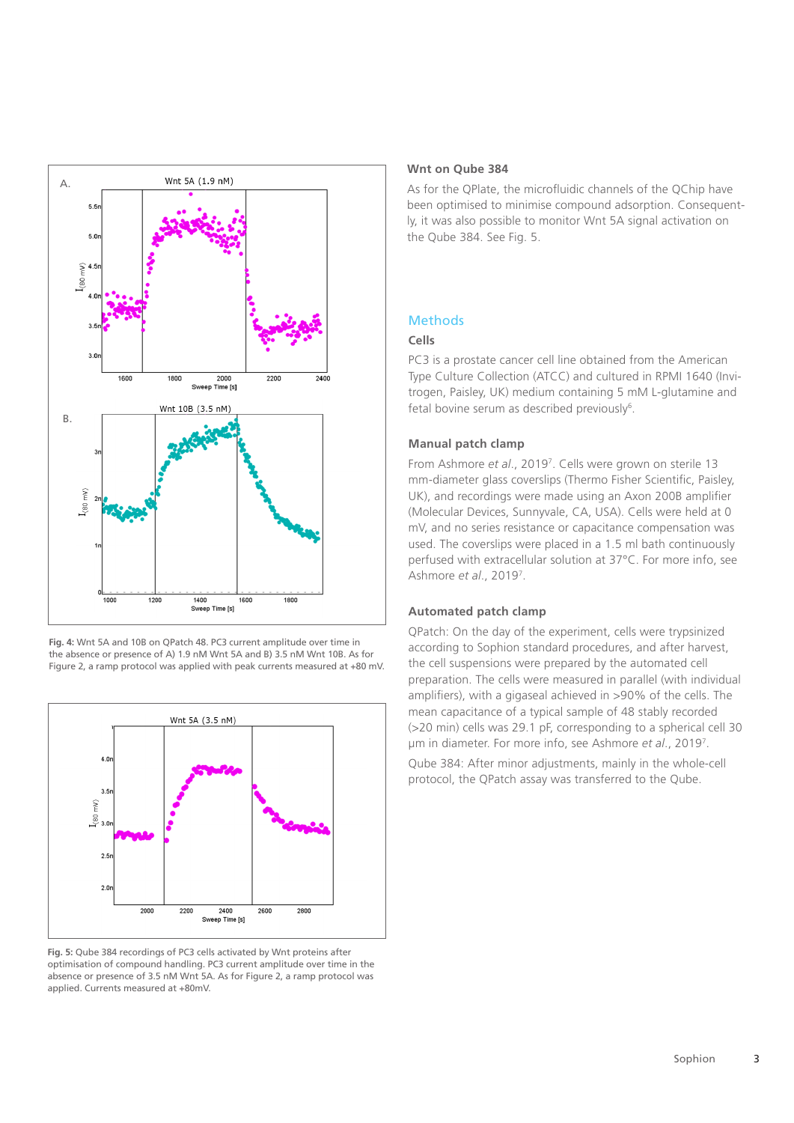

**Fig. 4:** Wnt 5A and 10B on QPatch 48. PC3 current amplitude over time in the absence or presence of A) 1.9 nM Wnt 5A and B) 3.5 nM Wnt 10B. As for Figure 2, a ramp protocol was applied with peak currents measured at +80 mV.



**Fig. 5:** Qube 384 recordings of PC3 cells activated by Wnt proteins after optimisation of compound handling. PC3 current amplitude over time in the absence or presence of 3.5 nM Wnt 5A. As for Figure 2, a ramp protocol was applied. Currents measured at +80mV.

#### **Wnt on Qube 384**

As for the QPlate, the microfluidic channels of the QChip have been optimised to minimise compound adsorption. Consequently, it was also possible to monitor Wnt 5A signal activation on the Qube 384. See Fig. 5.

## Methods

#### **Cells**

PC3 is a prostate cancer cell line obtained from the American Type Culture Collection (ATCC) and cultured in RPMI 1640 (Invitrogen, Paisley, UK) medium containing 5 mM L-glutamine and fetal bovine serum as described previously<sup>6</sup>.

#### **Manual patch clamp**

From Ashmore *et al*., 20197 . Cells were grown on sterile 13 mm-diameter glass coverslips (Thermo Fisher Scientific, Paisley, UK), and recordings were made using an Axon 200B amplifier (Molecular Devices, Sunnyvale, CA, USA). Cells were held at 0 mV, and no series resistance or capacitance compensation was used. The coverslips were placed in a 1.5 ml bath continuously perfused with extracellular solution at 37°C. For more info, see Ashmore *et al*., 20197 .

#### **Automated patch clamp**

QPatch: On the day of the experiment, cells were trypsinized according to Sophion standard procedures, and after harvest, the cell suspensions were prepared by the automated cell preparation. The cells were measured in parallel (with individual amplifiers), with a gigaseal achieved in >90% of the cells. The mean capacitance of a typical sample of 48 stably recorded (>20 min) cells was 29.1 pF, corresponding to a spherical cell 30 µm in diameter. For more info, see Ashmore *et al*., 20197 .

Qube 384: After minor adjustments, mainly in the whole-cell protocol, the QPatch assay was transferred to the Qube.